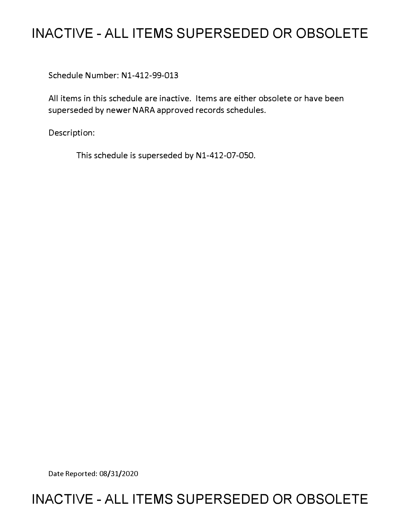# **INACTIVE - ALL ITEMS SUPERSEDED OR OBSOLETE**

Schedule Number: Nl-412-99-013

All items in this schedule are inactive. Items are either obsolete or have been superseded by newer NARA approved records schedules.

Description:

This schedule is superseded by N1-412-07-050.

Date Reported: 08/31/2020

## **INACTIVE - ALL ITEMS SUPERSEDED OR OBSOLETE**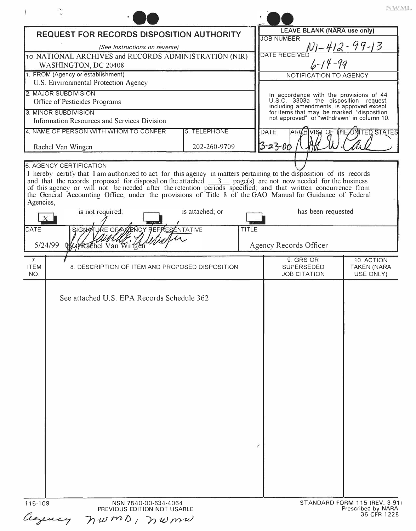|                                                                                                                                                                                                                                                                                                                                                                                         |                                                                                                                                     | NWML.                                         |
|-----------------------------------------------------------------------------------------------------------------------------------------------------------------------------------------------------------------------------------------------------------------------------------------------------------------------------------------------------------------------------------------|-------------------------------------------------------------------------------------------------------------------------------------|-----------------------------------------------|
| <b>REQUEST FOR RECORDS DISPOSITION AUTHORITY</b>                                                                                                                                                                                                                                                                                                                                        | <b>LEAVE BLANK (NARA use only)</b>                                                                                                  |                                               |
| (See Instructions on reverse)                                                                                                                                                                                                                                                                                                                                                           | <b>JOB NUMBER</b><br><u>NI-412-99-13</u>                                                                                            |                                               |
| TO: NATIONAL ARCHIVES and RECORDS ADMINISTRATION (NIR)                                                                                                                                                                                                                                                                                                                                  | DATE RECEIVED                                                                                                                       |                                               |
| WASHINGTON, DC 20408                                                                                                                                                                                                                                                                                                                                                                    | $6 - 14 - 99$                                                                                                                       |                                               |
| 1. FROM (Agency or establishment)                                                                                                                                                                                                                                                                                                                                                       | NOTIFICATION TO AGENCY                                                                                                              |                                               |
| U.S. Environmental Protection Agency                                                                                                                                                                                                                                                                                                                                                    |                                                                                                                                     |                                               |
| 2. MAJOR SUBDIVISION<br>Office of Pesticides Programs                                                                                                                                                                                                                                                                                                                                   | In accordance with the provisions of 44<br>U.S.C. 3303a the disposition request,                                                    |                                               |
| 3. MINOR SUBDIVISION                                                                                                                                                                                                                                                                                                                                                                    | including amendments, is approved except<br>for items that may be marked "disposition<br>not approved" or "withdrawn" in column 10. |                                               |
| Information Resources and Services Division                                                                                                                                                                                                                                                                                                                                             |                                                                                                                                     |                                               |
| 4. NAME OF PERSON WITH WHOM TO CONFER<br>5. TELEPHONE                                                                                                                                                                                                                                                                                                                                   | <b>DATE</b>                                                                                                                         | <b>INITED STATES</b>                          |
| 202-260-9709<br>Rachel Van Wingen                                                                                                                                                                                                                                                                                                                                                       | $3 - 23 - 00$                                                                                                                       |                                               |
|                                                                                                                                                                                                                                                                                                                                                                                         |                                                                                                                                     |                                               |
| of this agency or will not be needed after the retention periods specified; and that written concurrence from<br>the General Accounting Office, under the provisions of Title 8 of the GAO Manual for Guidance of Federal<br>Agencies,<br>is not required:<br>is attached; or<br><b>KE OF AGENCY REPRESENTATIVE</b><br>DATE<br><b>TITLE</b><br>SIGNA<br>5/24/99<br>Wirkachel Van Wingen | has been requested<br>Agency Records Officer                                                                                        |                                               |
|                                                                                                                                                                                                                                                                                                                                                                                         |                                                                                                                                     |                                               |
| 7 <sub>1</sub><br><b>ITEM</b><br>8. DESCRIPTION OF ITEM AND PROPOSED DISPOSITION<br>NO.                                                                                                                                                                                                                                                                                                 | 9. GRS OR<br><b>SUPERSEDED</b><br><b>JOB CITATION</b>                                                                               | 10. ACTION<br><b>TAKEN (NARA</b><br>USE ONLY) |
| See attached U.S. EPA Records Schedule 362                                                                                                                                                                                                                                                                                                                                              |                                                                                                                                     |                                               |
|                                                                                                                                                                                                                                                                                                                                                                                         |                                                                                                                                     |                                               |

36 CFR 1228 *·n,,ill fn-1:) I I') tu jrr·uJ*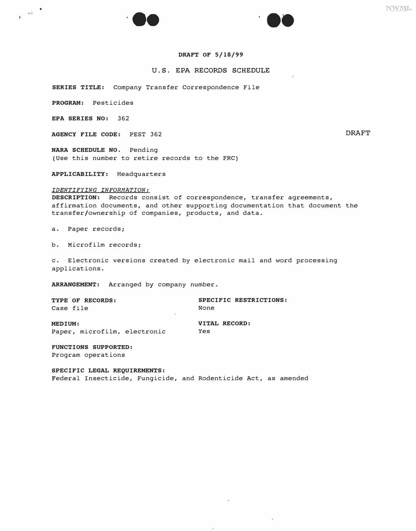



### U.S. EPA RECORDS SCHEDULE

**SERIES TITLE:** Company Transfer Correspondence File

**PROGRAM:** Pesticides

**EPA SERIES NO:** 362

 $\cdot$   $\cdot$   $\cdot$   $\cdot$ 

**AGENCY FILE CODE:** PEST 362 DRAFT

**NARA SCHEDULE NO.** Pending (Use this number to retire records to the FRC)

**APPLICABILITY:** Headquarters

*IDENTIFYING INFORMATION:* 

**DESCRIPTION:** Records consist of correspondence, transfer agreements, affirmation documents, and other supporting documentation that document the transfer/ownership of companies, products, and data.

a. Paper records;

b. Microfilm records;

c. Electronic versions created by electronic mail and word processing applications.

**ARRANGEMENT:** Arranged by company number.

**TYPE OF RECORDS: SPECIFIC RESTRICTIONS:**  Case file **MEDIUM: VITAL RECORD:**<br> **Paper, microfilm, electronic** Yes

Paper, microfilm, electronic

**FUNCTIONS SUPPORTED:**  Program operations

**SPECIFIC LEGAL REQUIREMENTS:**  Federal Insecticide, Fungicide, and Rodenticide Act, as amended NWML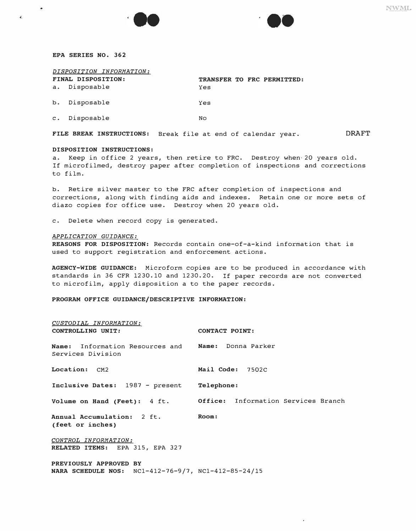#### **EPA SERIES NO. 362**

٠

 $\overline{1}$ 

| DISPOSITION INFORMATION: |                    |                            |  |  |  |  |
|--------------------------|--------------------|----------------------------|--|--|--|--|
|                          | FINAL DISPOSITION: | TRANSFER TO FRC PERMITTED: |  |  |  |  |
|                          | a. Disposable      | Yes                        |  |  |  |  |
|                          | b. Disposable      | Yes                        |  |  |  |  |
|                          | c. Disposable      | <b>No</b>                  |  |  |  |  |

**FILE BREAK INSTRUCTIONS:** Break file at end of calendar year. DRAFT

### **DISPOSITION INSTRUCTIONS:**

a. Keep in office 2 years, then retire to FRC. Destroy when,20 years old. If microfilmed, destroy paper after completion of inspections and corrections to film.

b. Retire silver master to the FRC after completion of inspections and corrections, along with finding aids and indexes. Retain one or more sets of diazo copies for office use. Destroy when 20 years old.

c. Delete when record copy is generated.

#### *APPLICATION GUIDANCE:*

**REASONS FOR DISPOSITION:** Records contain one-of-a-kind information that is used to support registration and enforcement actions.

**AGENCY-WIDE GUIDANCE:** Microform copies are to be produced in accordance with standards in 36 CFR 1230.10 and 1230.20. If paper records are not converted to microfilm, apply disposition a to the paper records.

**PROGRAM OFFICE GUIDANCE/DESCRIPTIVE INFORMATION:** 

| CUSTODIAL INFORMATION:                                          |                                                                  |
|-----------------------------------------------------------------|------------------------------------------------------------------|
| CONTROLLING UNIT:                                               | <b>CONTACT POINT:</b>                                            |
|                                                                 |                                                                  |
| Name: Information Resources and Name: Donna Parker              |                                                                  |
| Services Division                                               |                                                                  |
|                                                                 |                                                                  |
| Location: CM2                                                   | Mail Code: 7502C                                                 |
|                                                                 |                                                                  |
| Inclusive Dates: 1987 - present Telephone:                      |                                                                  |
|                                                                 |                                                                  |
|                                                                 | Volume on Hand (Feet): 4 ft. Office: Information Services Branch |
|                                                                 |                                                                  |
| Annual Accumulation: 2 ft.                                      | Room:                                                            |
| (feet or inches)                                                |                                                                  |
| CONTROL INFORMATION:                                            |                                                                  |
| RELATED ITEMS: EPA 315, EPA 327                                 |                                                                  |
|                                                                 |                                                                  |
| PREVIOUSLY APPROVED BY                                          |                                                                  |
| <b>NARA SCHEDULE NOS:</b> $NCl-412-76-9/7$ , $NCl-412-85-24/15$ |                                                                  |